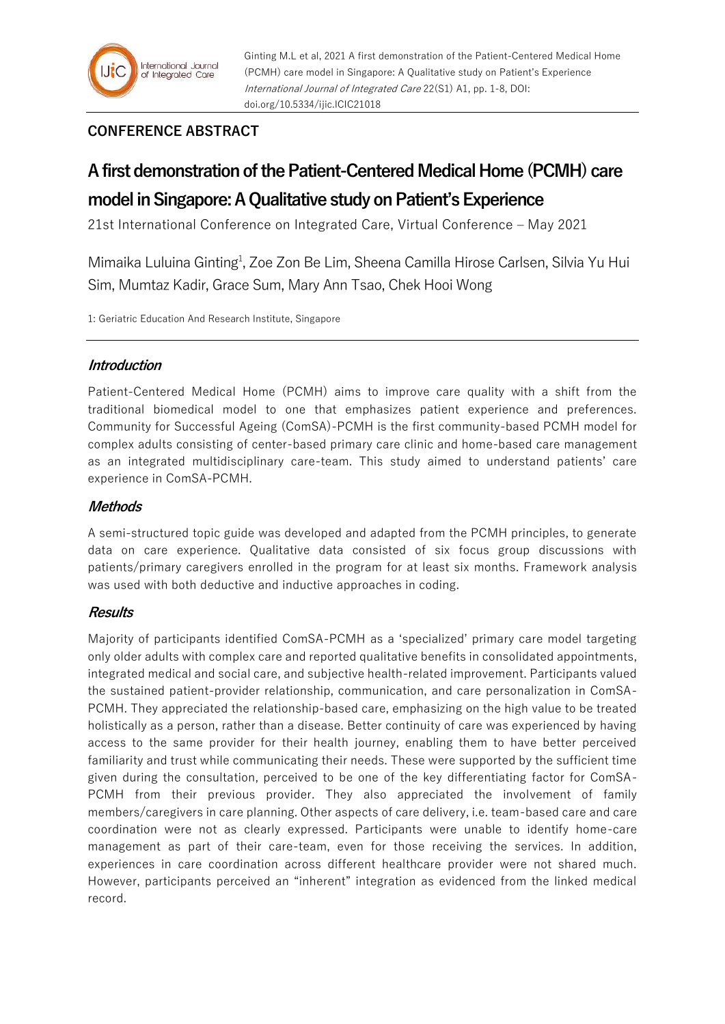# **CONFERENCE ABSTRACT**

# **A first demonstration of the Patient-Centered Medical Home (PCMH) care model in Singapore: A Qualitative study on Patient's Experience**

21st International Conference on Integrated Care, Virtual Conference – May 2021

Mimaika Luluina Ginting<sup>1</sup>, Zoe Zon Be Lim, Sheena Camilla Hirose Carlsen, Silvia Yu Hui Sim, Mumtaz Kadir, Grace Sum, Mary Ann Tsao, Chek Hooi Wong

1: Geriatric Education And Research Institute, Singapore

## **Introduction**

Patient-Centered Medical Home (PCMH) aims to improve care quality with a shift from the traditional biomedical model to one that emphasizes patient experience and preferences. Community for Successful Ageing (ComSA)-PCMH is the first community-based PCMH model for complex adults consisting of center-based primary care clinic and home-based care management as an integrated multidisciplinary care-team. This study aimed to understand patients' care experience in ComSA-PCMH.

## **Methods**

A semi-structured topic guide was developed and adapted from the PCMH principles, to generate data on care experience. Qualitative data consisted of six focus group discussions with patients/primary caregivers enrolled in the program for at least six months. Framework analysis was used with both deductive and inductive approaches in coding.

### **Results**

Majority of participants identified ComSA-PCMH as a 'specialized' primary care model targeting only older adults with complex care and reported qualitative benefits in consolidated appointments, integrated medical and social care, and subjective health-related improvement. Participants valued the sustained patient-provider relationship, communication, and care personalization in ComSA-PCMH. They appreciated the relationship-based care, emphasizing on the high value to be treated holistically as a person, rather than a disease. Better continuity of care was experienced by having access to the same provider for their health journey, enabling them to have better perceived familiarity and trust while communicating their needs. These were supported by the sufficient time given during the consultation, perceived to be one of the key differentiating factor for ComSA-PCMH from their previous provider. They also appreciated the involvement of family members/caregivers in care planning. Other aspects of care delivery, i.e. team-based care and care coordination were not as clearly expressed. Participants were unable to identify home-care management as part of their care-team, even for those receiving the services. In addition, experiences in care coordination across different healthcare provider were not shared much. However, participants perceived an "inherent" integration as evidenced from the linked medical record.